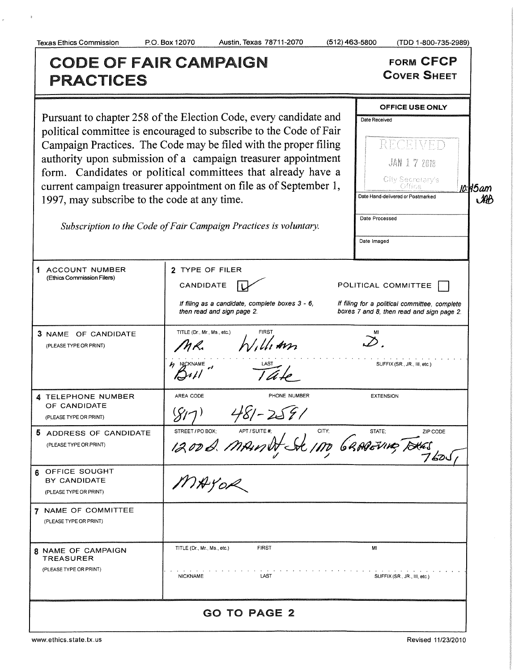$\bar{\mathbb{C}}$ 

 $\bar{c}$ 

| <b>CODE OF FAIR CAMPAIGN</b><br><b>PRACTICES</b>                                                                                                                                                                                                                                                                                                                                                                                                                                                                                       |                                                                                                                                                                            | <b>FORM CFCP</b><br><b>COVER SHEET</b>                                                                                                                                                 |
|----------------------------------------------------------------------------------------------------------------------------------------------------------------------------------------------------------------------------------------------------------------------------------------------------------------------------------------------------------------------------------------------------------------------------------------------------------------------------------------------------------------------------------------|----------------------------------------------------------------------------------------------------------------------------------------------------------------------------|----------------------------------------------------------------------------------------------------------------------------------------------------------------------------------------|
| Pursuant to chapter 258 of the Election Code, every candidate and<br>political committee is encouraged to subscribe to the Code of Fair<br>Campaign Practices. The Code may be filed with the proper filing<br>authority upon submission of a campaign treasurer appointment<br>form. Candidates or political committees that already have a<br>current campaign treasurer appointment on file as of September 1,<br>1997, may subscribe to the code at any time.<br>Subscription to the Code of Fair Campaign Practices is voluntary. |                                                                                                                                                                            | <b>OFFICE USE ONLY</b><br>Date Received<br>RECEIVED<br><b>JAN 1 7 2018</b><br>City Secretary's<br>io:145am<br>Date Hand-delivered or Postmarked<br>AB<br>Date Processed<br>Date Imaged |
| 1 ACCOUNT NUMBER<br>(Ethics Commission Filers)<br>3 NAME OF CANDIDATE<br>(PLEASE TYPE OR PRINT)                                                                                                                                                                                                                                                                                                                                                                                                                                        | 2 TYPE OF FILER<br>CANDIDATE<br>If filing as a candidate, complete boxes 3 - 6,<br>then read and sign page 2.<br>TITLE (Dr., Mr., Ms., etc.)<br>Illiam<br>$\n  M$ MJCKNAME | POLITICAL COMMITTEE<br>If filing for a political committee, complete<br>boxes 7 and 8, then read and sign page 2.<br>$\infty$<br>SUFFIX (SR., JR., III, etc.)                          |
| 4 TELEPHONE NUMBER<br>OF CANDIDATE<br>(PLEASE TYPE OR PRINT)<br><b>P</b><br>ADDRESS OF CANDIDATE<br>(PLEASE TYPE OR PRINT)<br>6 OFFICE SOUGHT<br>BY CANDIDATE                                                                                                                                                                                                                                                                                                                                                                          | AREA CODE<br>PHONE NUMBER<br>STREET/POBOX APTISULER NO GRAPEVING TOUGS<br>MAYOR                                                                                            | <b>EXTENSION</b><br>STATE;                                                                                                                                                             |
| (PLEASE TYPE OR PRINT)<br>7 NAME OF COMMITTEE<br>(PLEASE TYPE OR PRINT)<br>8 NAME OF CAMPAIGN<br><b>TREASURER</b><br>(PLEASE TYPE OR PRINT)                                                                                                                                                                                                                                                                                                                                                                                            | <b>FIRST</b><br>TITLE (Dr., Mr., Ms., etc.)<br>LAST<br><b>NICKNAME</b>                                                                                                     | MI<br>SUFFIX (SR., JR., III, etc.)                                                                                                                                                     |
| <b>GO TO PAGE 2</b>                                                                                                                                                                                                                                                                                                                                                                                                                                                                                                                    |                                                                                                                                                                            |                                                                                                                                                                                        |